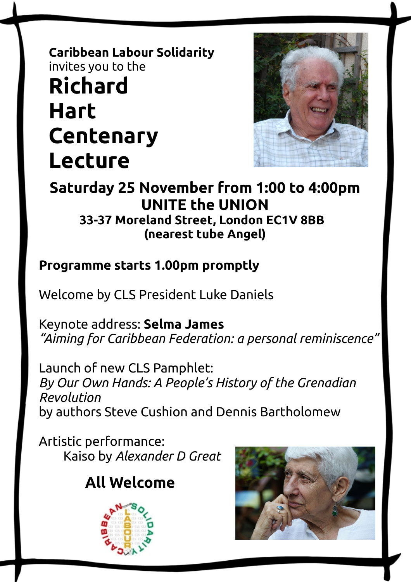# **Caribbean Labour Solidarity** invites you to the **Richard Hart Centenary Lecture**



#### **Saturday 25 November from 1:00 to 4:00pm UNITE the UNION 33-37 Moreland Street, London EC1V 8BB (nearest tube Angel)**

### **Programme starts 1.00pm promptly**

Welcome by CLS President Luke Daniels

Keynote address: **Selma James** *"Aiming for Caribbean Federation: a personal reminiscence"*

Launch of new CLS Pamphlet: *By Our Own Hands: A People's History of the Grenadian Revolution* by authors Steve Cushion and Dennis Bartholomew

Artistic performance: Kaiso by *Alexander D Great*

## **All Welcome**